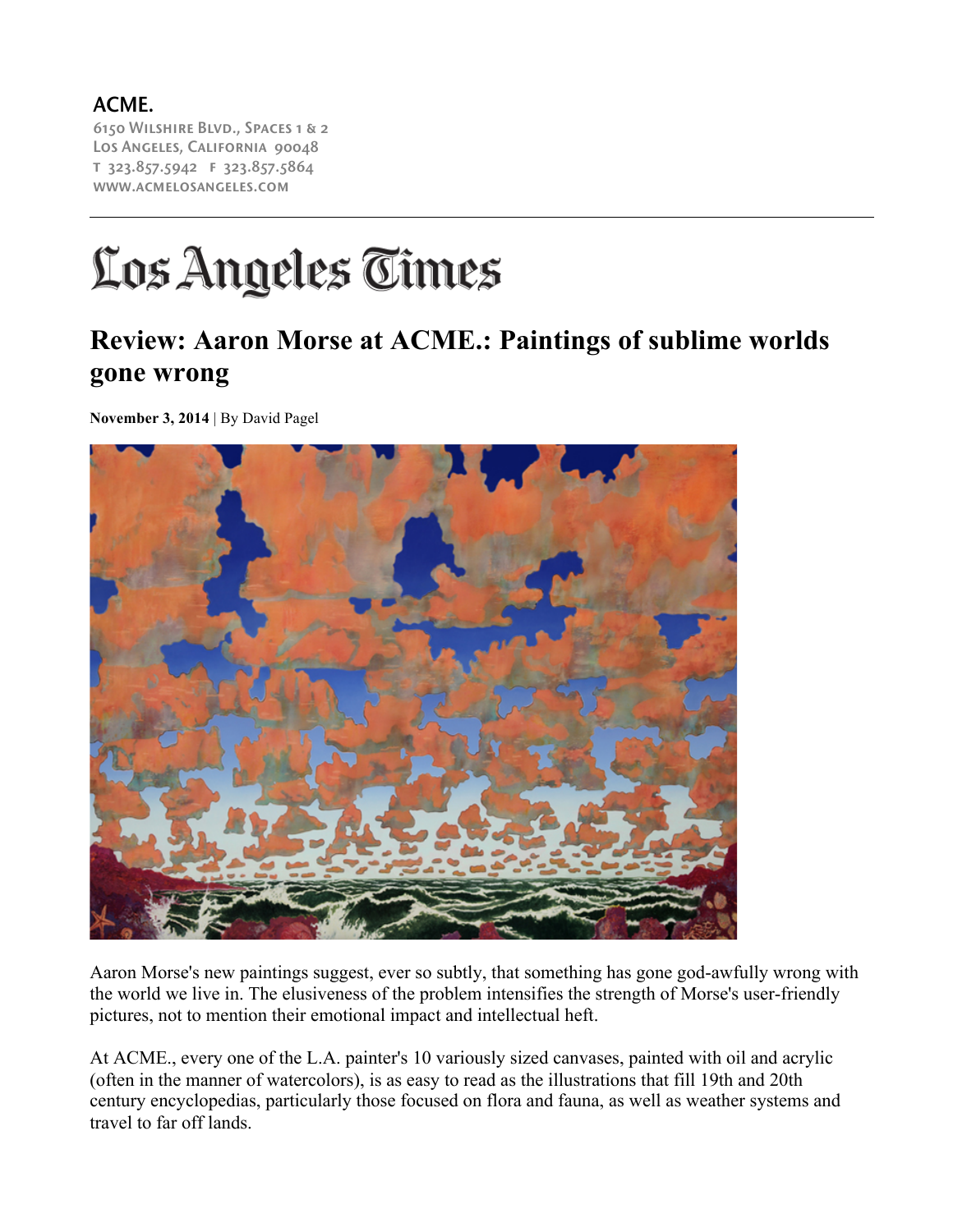ACME. 6150 Wilshire Blvd., Spaces 1 & 2 Los Angeles, California 90048 t 323.857.5942 f 323.857.5864 www.acmelosangeles.com

## Los Angeles Times

## **Review: Aaron Morse at ACME.: Paintings of sublime worlds gone wrong**

**November 3, 2014** | By David Pagel



Aaron Morse's new paintings suggest, ever so subtly, that something has gone god-awfully wrong with the world we live in. The elusiveness of the problem intensifies the strength of Morse's user-friendly pictures, not to mention their emotional impact and intellectual heft.

At ACME., every one of the L.A. painter's 10 variously sized canvases, painted with oil and acrylic (often in the manner of watercolors), is as easy to read as the illustrations that fill 19th and 20th century encyclopedias, particularly those focused on flora and fauna, as well as weather systems and travel to far off lands.